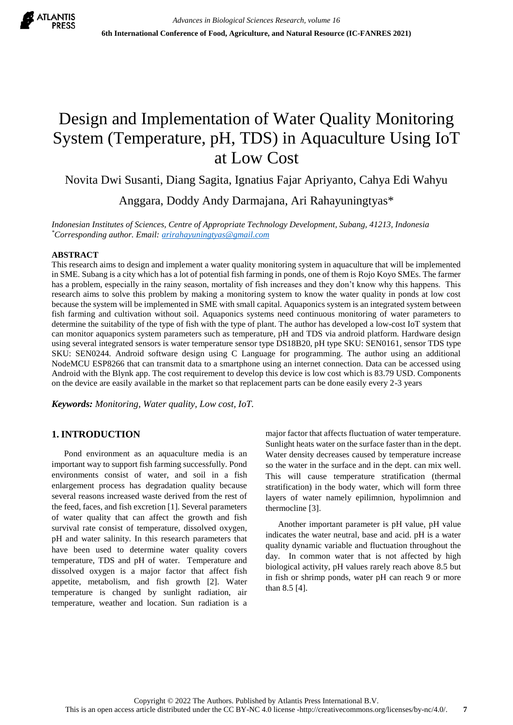

# Design and Implementation of Water Quality Monitoring System (Temperature, pH, TDS) in Aquaculture Using IoT at Low Cost

Novita Dwi Susanti, Diang Sagita, Ignatius Fajar Apriyanto, Cahya Edi Wahyu Anggara, Doddy Andy Darmajana, Ari Rahayuningtyas\*

*Indonesian Institutes of Sciences, Centre of Appropriate Technology Development, Subang, 41213, Indonesia \*Corresponding author. Email[: arirahayuningtyas@gmail.com](http://../Asus%20A442UR/Downloads/arirahayuningtyas@gmail.com)*

### **ABSTRACT**

This research aims to design and implement a water quality monitoring system in aquaculture that will be implemented in SME. Subang is a city which has a lot of potential fish farming in ponds, one of them is Rojo Koyo SMEs. The farmer has a problem, especially in the rainy season, mortality of fish increases and they don't know why this happens. This research aims to solve this problem by making a monitoring system to know the water quality in ponds at low cost because the system will be implemented in SME with small capital. Aquaponics system is an integrated system between fish farming and cultivation without soil. Aquaponics systems need continuous monitoring of water parameters to determine the suitability of the type of fish with the type of plant. The author has developed a low-cost IoT system that can monitor aquaponics system parameters such as temperature, pH and TDS via android platform. Hardware design using several integrated sensors is water temperature sensor type DS18B20, pH type SKU: SEN0161, sensor TDS type SKU: SEN0244. Android software design using C Language for programming. The author using an additional NodeMCU ESP8266 that can transmit data to a smartphone using an internet connection. Data can be accessed using Android with the Blynk app. The cost requirement to develop this device is low cost which is 83.79 USD. Components on the device are easily available in the market so that replacement parts can be done easily every 2-3 years

*Keywords: Monitoring, Water quality, Low cost, IoT.*

# **1. INTRODUCTION**

Pond environment as an aquaculture media is an important way to support fish farming successfully. Pond environments consist of water, and soil in a fish enlargement process has degradation quality because several reasons increased waste derived from the rest of the feed, faces, and fish excretion [1]. Several parameters of water quality that can affect the growth and fish survival rate consist of temperature, dissolved oxygen, pH and water salinity. In this research parameters that have been used to determine water quality covers temperature, TDS and pH of water. Temperature and dissolved oxygen is a major factor that affect fish appetite, metabolism, and fish growth [2]. Water temperature is changed by sunlight radiation, air temperature, weather and location. Sun radiation is a

major factor that affects fluctuation of water temperature. Sunlight heats water on the surface faster than in the dept. Water density decreases caused by temperature increase so the water in the surface and in the dept. can mix well. This will cause temperature stratification (thermal stratification) in the body water, which will form three layers of water namely epilimnion, hypolimnion and thermocline [3].

Another important parameter is pH value, pH value indicates the water neutral, base and acid. pH is a water quality dynamic variable and fluctuation throughout the day. In common water that is not affected by high biological activity, pH values rarely reach above 8.5 but in fish or shrimp ponds, water pH can reach 9 or more than 8.5 [4].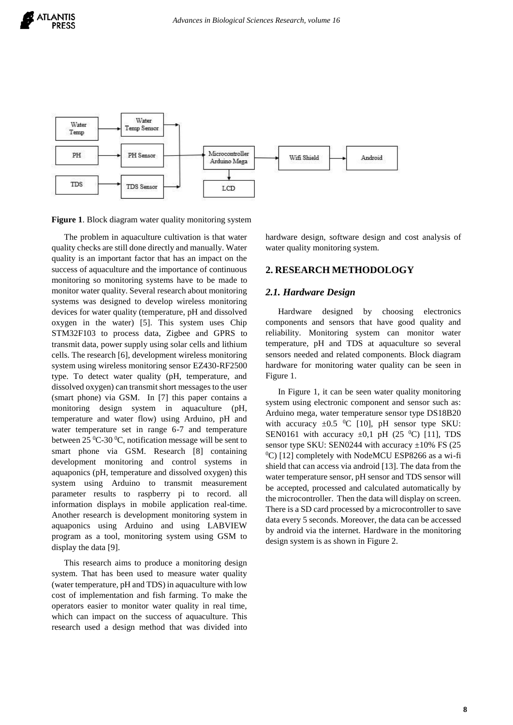



**Figure 1**. Block diagram water quality monitoring system

The problem in aquaculture cultivation is that water quality checks are still done directly and manually. Water quality is an important factor that has an impact on the success of aquaculture and the importance of continuous monitoring so monitoring systems have to be made to monitor water quality. Several research about monitoring systems was designed to develop wireless monitoring devices for water quality (temperature, pH and dissolved oxygen in the water) [5]. This system uses Chip STM32F103 to process data, Zigbee and GPRS to transmit data, power supply using solar cells and lithium cells. The research [6], development wireless monitoring system using wireless monitoring sensor EZ430-RF2500 type. To detect water quality (pH, temperature, and dissolved oxygen) can transmit short messages to the user (smart phone) via GSM. In [7] this paper contains a monitoring design system in aquaculture (pH, temperature and water flow) using Arduino, pH and water temperature set in range 6-7 and temperature between  $25\,^0C$ -30  $^0C$ , notification message will be sent to smart phone via GSM. Research [8] containing development monitoring and control systems in aquaponics (pH, temperature and dissolved oxygen) this system using Arduino to transmit measurement parameter results to raspberry pi to record. all information displays in mobile application real-time. Another research is development monitoring system in aquaponics using Arduino and using LABVIEW program as a tool, monitoring system using GSM to display the data [9].

This research aims to produce a monitoring design system. That has been used to measure water quality (water temperature, pH and TDS) in aquaculture with low cost of implementation and fish farming. To make the operators easier to monitor water quality in real time, which can impact on the success of aquaculture. This research used a design method that was divided into hardware design, software design and cost analysis of water quality monitoring system.

#### **2. RESEARCH METHODOLOGY**

#### *2.1. Hardware Design*

Hardware designed by choosing electronics components and sensors that have good quality and reliability. Monitoring system can monitor water temperature, pH and TDS at aquaculture so several sensors needed and related components. Block diagram hardware for monitoring water quality can be seen in Figure 1.

In Figure 1, it can be seen water quality monitoring system using electronic component and sensor such as: Arduino mega, water temperature sensor type DS18B20 with accuracy  $\pm 0.5$  <sup>0</sup>C [10], pH sensor type SKU: SEN0161 with accuracy  $\pm 0.1$  pH (25 <sup>0</sup>C) [11], TDS sensor type SKU: SEN0244 with accuracy  $\pm 10\%$  FS (25  $^0$ C) [12] completely with NodeMCU ESP8266 as a wi-fi shield that can access via android [13]. The data from the water temperature sensor, pH sensor and TDS sensor will be accepted, processed and calculated automatically by the microcontroller. Then the data will display on screen. There is a SD card processed by a microcontroller to save data every 5 seconds. Moreover, the data can be accessed by android via the internet. Hardware in the monitoring design system is as shown in Figure 2.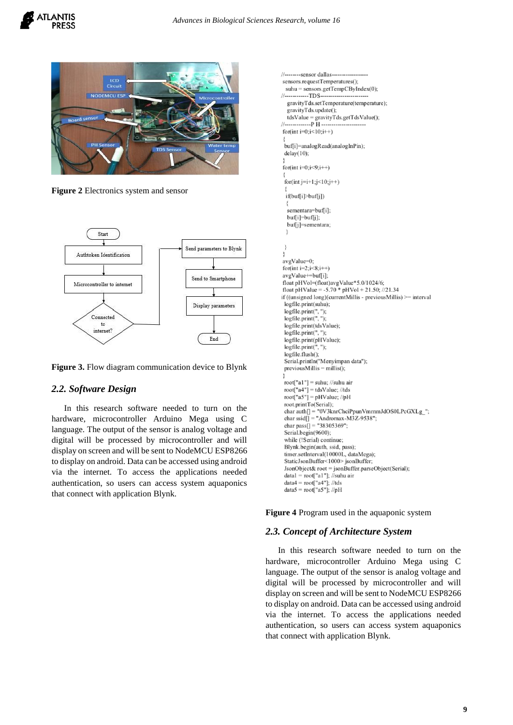



**Figure 2** Electronics system and sensor



**Figure 3.** Flow diagram communication device to Blynk

### *2.2. Software Design*

In this research software needed to turn on the hardware, microcontroller Arduino Mega using C language. The output of the sensor is analog voltage and digital will be processed by microcontroller and will display on screen and will be sent to NodeMCU ESP8266 to display on android. Data can be accessed using android via the internet. To access the applications needed authentication, so users can access system aquaponics that connect with application Blynk.

```
----sensor dallas---
IIsensors.requestTemperatures();
 subu = sensors.getTempCByIndex(0);
II<sub>---</sub>
         ...TDS.
  gravityTds.setTemperature(temperature);
  gravityTds.update();
  tdsValue = gravityTds.getTdsValue();
//--------------P H --
for(int i=0;i<10;i++)
 buf[i]=analogRead(analogInPin);
 delay(10);for(int i=0;i<9;i++)
 for(int j=i+1;j<10;j++)
 if(buf[i]>buf[j])
  sementara=buf[i];
  buf[i]=buf[j];
  buf[j]=sementara;
 ł
avgValue=0;
for(int i=2;i<8;i++)
avgValue+=buf[i];
float pHVol=(float)avgValue*5.0/1024/6;
float pHValue = -5.70 * pHVol + 21.50; //21.34
if ((unsigned long)(currentMillis - previousMillis) >= interval
 logfile.print(suhu);
 logfile.print", ");<br>logfile.print", ");logfile.print(tdsValue);
 logfile.print(",");
 logfile.print(pHValue);
 logfile.print(",");
 logfile.flush();
 Serial.println("Menyimpan data");
 previously Millis = millis():
 root["a1"] = suhu; //suhu air
 root["a4"] = tdsValue; //tds
 root["a5"] = pHValue; //pH
 root.printTo(Serial);
 char auth[] = "0V3knrChciPpunVmrnmJdOS0LPcGXLg_";<br>char ssid[] = "Andromax-M3Z-9538";
 char pass[] = "38305369";
 Serial.begin(9600);
 while (!Serial) continue;
 Blynk.begin(auth, ssid, pass);
 timer.setInterval(10000L, dataMega);
 StaticJsonBuffer<1000>jsonBuffer;
 JsonObject& root = jsonBuffer.parseObject(Serial);
 datal = root["a1"]; //suhu air
 data4 = root["a4"]; //tds
 data5 = root["a5"]; //pH
```
**Figure 4** Program used in the aquaponic system

## *2.3. Concept of Architecture System*

In this research software needed to turn on the hardware, microcontroller Arduino Mega using C language. The output of the sensor is analog voltage and digital will be processed by microcontroller and will display on screen and will be sent to NodeMCU ESP8266 to display on android. Data can be accessed using android via the internet. To access the applications needed authentication, so users can access system aquaponics that connect with application Blynk.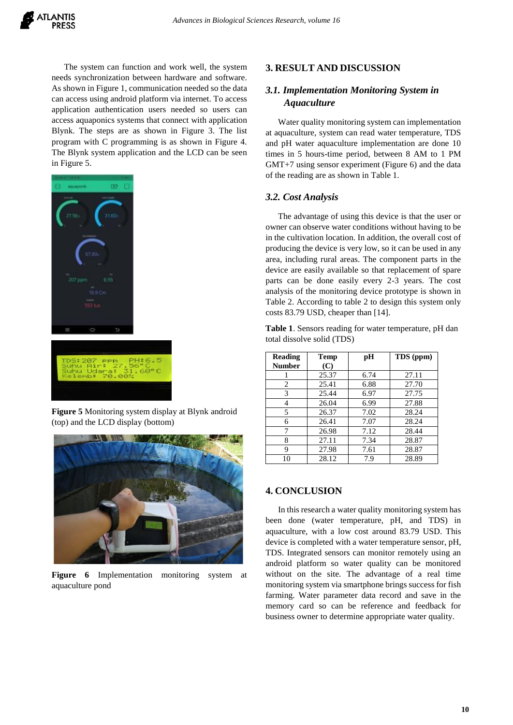The system can function and work well, the system needs synchronization between hardware and software. As shown in Figure 1, communication needed so the data can access using android platform via internet. To access application authentication users needed so users can access aquaponics systems that connect with application Blynk. The steps are as shown in Figure 3. The list program with C programming is as shown in Figure 4. The Blynk system application and the LCD can be seen in Figure 5.



**Figure 5** Monitoring system display at Blynk android (top) and the LCD display (bottom)



**Figure 6** Implementation monitoring system at aquaculture pond

## **3. RESULT AND DISCUSSION**

# *3.1. Implementation Monitoring System in Aquaculture*

Water quality monitoring system can implementation at aquaculture, system can read water temperature, TDS and pH water aquaculture implementation are done 10 times in 5 hours-time period, between 8 AM to 1 PM GMT+7 using sensor experiment (Figure 6) and the data of the reading are as shown in Table 1.

## *3.2. Cost Analysis*

The advantage of using this device is that the user or owner can observe water conditions without having to be in the cultivation location. In addition, the overall cost of producing the device is very low, so it can be used in any area, including rural areas. The component parts in the device are easily available so that replacement of spare parts can be done easily every 2-3 years. The cost analysis of the monitoring device prototype is shown in Table 2. According to table 2 to design this system only costs 83.79 USD, cheaper than [14].

**Table 1**. Sensors reading for water temperature, pH dan total dissolve solid (TDS)

| <b>Reading</b> | Temp  | pН   | TDS (ppm) |  |
|----------------|-------|------|-----------|--|
| <b>Number</b>  | (C)   |      |           |  |
|                | 25.37 | 6.74 | 27.11     |  |
| 2              | 25.41 | 6.88 | 27.70     |  |
| 3              | 25.44 | 6.97 | 27.75     |  |
| 4              | 26.04 | 6.99 | 27.88     |  |
| 5              | 26.37 | 7.02 | 28.24     |  |
| 6              | 26.41 | 7.07 | 28.24     |  |
| 7              | 26.98 | 7.12 | 28.44     |  |
| 8              | 27.11 | 7.34 | 28.87     |  |
| 9              | 27.98 | 7.61 | 28.87     |  |
| 10             | 28.12 | 7.9  | 28.89     |  |

## **4. CONCLUSION**

In this research a water quality monitoring system has been done (water temperature, pH, and TDS) in aquaculture, with a low cost around 83.79 USD. This device is completed with a water temperature sensor, pH, TDS. Integrated sensors can monitor remotely using an android platform so water quality can be monitored without on the site. The advantage of a real time monitoring system via smartphone brings success for fish farming. Water parameter data record and save in the memory card so can be reference and feedback for business owner to determine appropriate water quality.